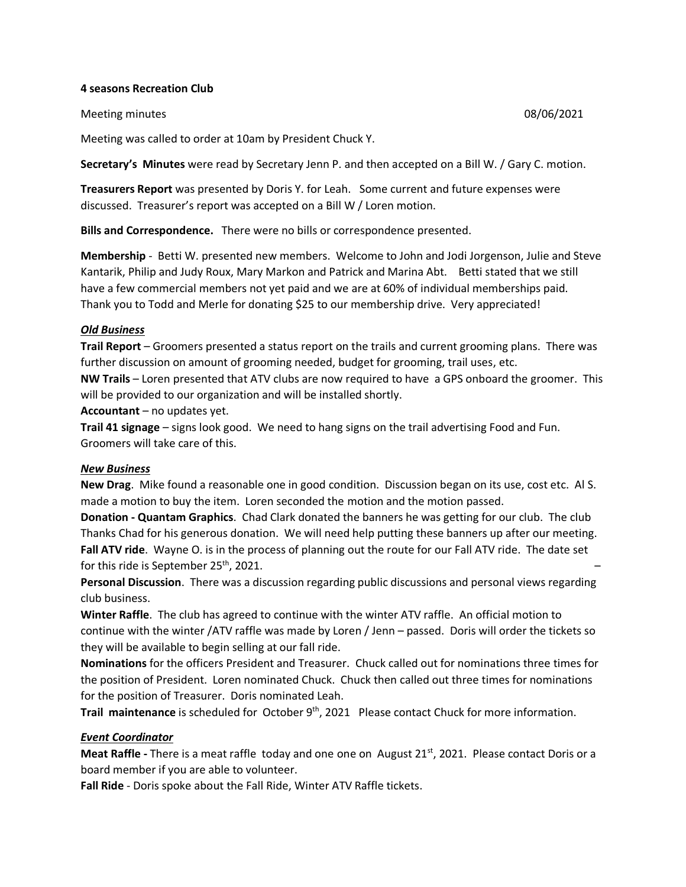#### **4 seasons Recreation Club**

Meeting minutes and the control of the control of the control of the control of the control of the control of the control of the control of the control of the control of the control of the control of the control of the con

Meeting was called to order at 10am by President Chuck Y.

**Secretary's Minutes** were read by Secretary Jenn P. and then accepted on a Bill W. / Gary C. motion.

**Treasurers Report** was presented by Doris Y. for Leah. Some current and future expenses were discussed. Treasurer's report was accepted on a Bill W / Loren motion.

**Bills and Correspondence.** There were no bills or correspondence presented.

**Membership** - Betti W. presented new members. Welcome to John and Jodi Jorgenson, Julie and Steve Kantarik, Philip and Judy Roux, Mary Markon and Patrick and Marina Abt. Betti stated that we still have a few commercial members not yet paid and we are at 60% of individual memberships paid. Thank you to Todd and Merle for donating \$25 to our membership drive. Very appreciated!

### *Old Business*

**Trail Report** – Groomers presented a status report on the trails and current grooming plans. There was further discussion on amount of grooming needed, budget for grooming, trail uses, etc.

**NW Trails** – Loren presented that ATV clubs are now required to have a GPS onboard the groomer. This will be provided to our organization and will be installed shortly.

**Accountant** – no updates yet.

**Trail 41 signage** – signs look good. We need to hang signs on the trail advertising Food and Fun. Groomers will take care of this.

### *New Business*

**New Drag**. Mike found a reasonable one in good condition. Discussion began on its use, cost etc. Al S. made a motion to buy the item. Loren seconded the motion and the motion passed.

**Donation - Quantam Graphics**. Chad Clark donated the banners he was getting for our club. The club Thanks Chad for his generous donation. We will need help putting these banners up after our meeting. **Fall ATV ride**. Wayne O. is in the process of planning out the route for our Fall ATV ride. The date set for this ride is September 25<sup>th</sup>, 2021.

**Personal Discussion**. There was a discussion regarding public discussions and personal views regarding club business.

**Winter Raffle**. The club has agreed to continue with the winter ATV raffle. An official motion to continue with the winter /ATV raffle was made by Loren / Jenn – passed. Doris will order the tickets so they will be available to begin selling at our fall ride.

**Nominations** for the officers President and Treasurer. Chuck called out for nominations three times for the position of President. Loren nominated Chuck. Chuck then called out three times for nominations for the position of Treasurer. Doris nominated Leah.

Trail maintenance is scheduled for October 9<sup>th</sup>, 2021 Please contact Chuck for more information.

# *Event Coordinator*

**Meat Raffle -** There is a meat raffle today and one one on August 21<sup>st</sup>, 2021. Please contact Doris or a board member if you are able to volunteer.

**Fall Ride** - Doris spoke about the Fall Ride, Winter ATV Raffle tickets.